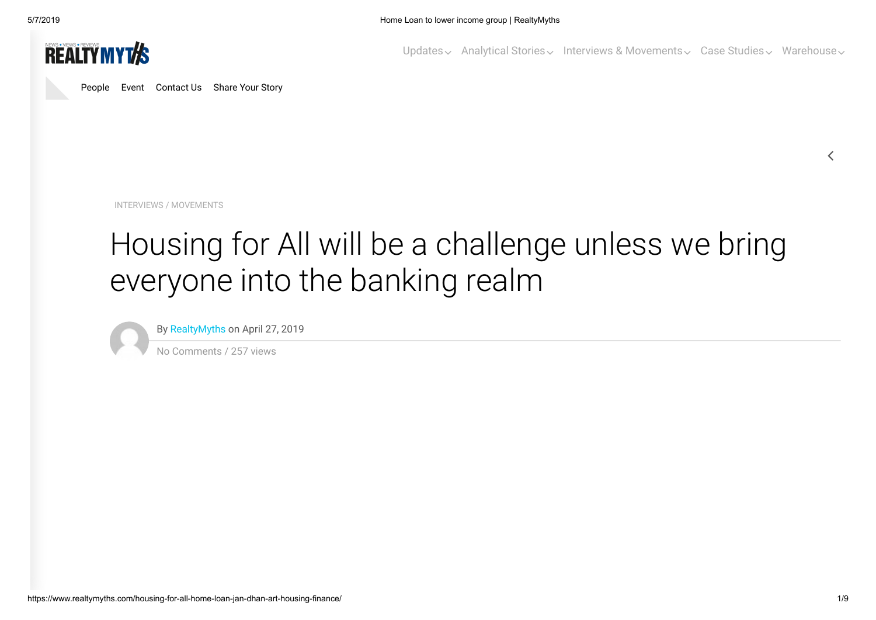

[People](https://www.realtymyths.com/people/) [Event](https://www.realtymyths.com/events/) [Contact Us](https://www.realtymyths.com/contact-us/) [Share Your Story](https://www.realtymyths.com/share-story/)

[Updates](https://www.realtymyths.com/category/rm-updates/)  $\sim$  [Analytical Stories](https://www.realtymyths.com/category/rm-reports/)  $\sim$  [Interviews & Movements](https://www.realtymyths.com/category/interviews/)  $\sim$  [Case Studies](https://www.realtymyths.com/category/case-study/)  $\sim$  [Warehouse](https://www.realtymyths.com/category/rm-warehouse/)  $\sim$ 

[INTERVIEWS](https://www.realtymyths.com/category/interviews/) / [MOVEMENTS](https://www.realtymyths.com/category/movements/)

# Housing for All will be a challenge unless we bring everyone into the banking realm

By [RealtyMyths](https://www.realtymyths.com/author/admin/) on April 27, 2019

No Comments / 257 views

 $\langle$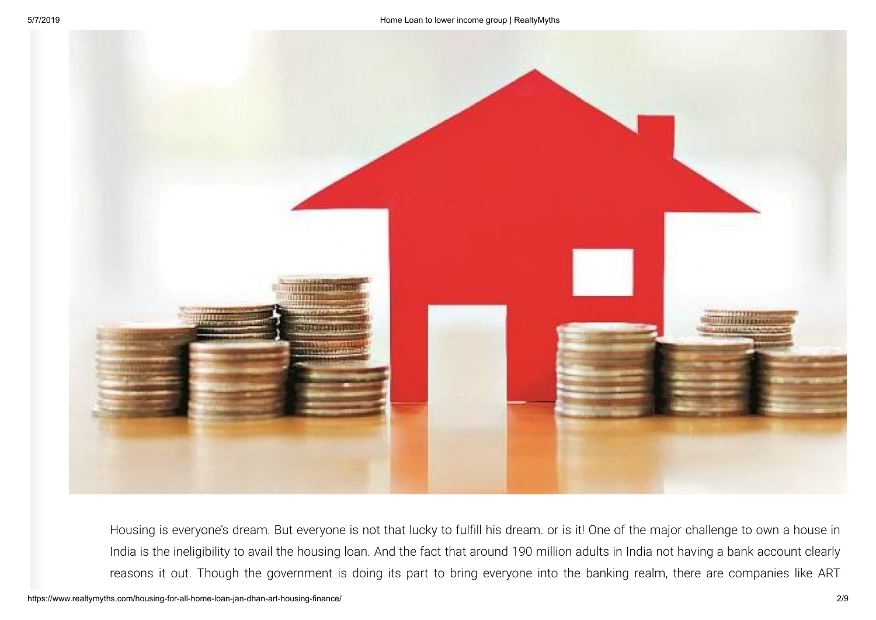

Housing is everyone's dream. But everyone is not that lucky to fulfill his dream. or is it! One of the major challenge to own a house in India is the ineligibility to avail the housing loan. And the fact that around 190 million adults in India not having a bank account clearly reasons it out. Though the government is doing its part to bring everyone into the banking realm, there are companies like ART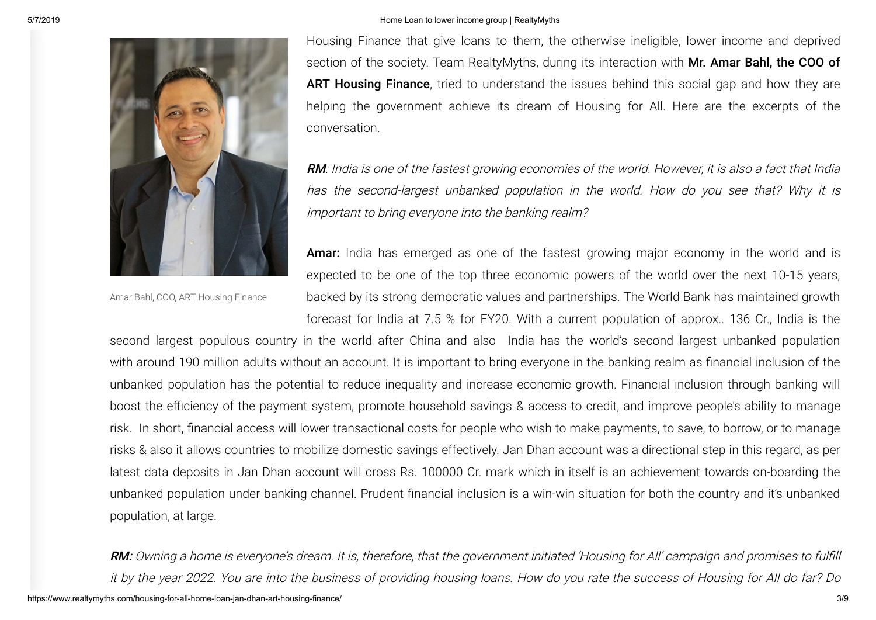

Amar Bahl, COO, ART Housing Finance

Housing Finance that give loans to them, the otherwise ineligible, lower income and deprived section of the society. Team RealtyMyths, during its interaction with Mr. Amar Bahl, the COO of ART Housing Finance, tried to understand the issues behind this social gap and how they are helping the government achieve its dream of Housing for All. Here are the excerpts of the conversation.

RM: India is one of the fastest growing economies of the world. However, it is also a fact that India has the second-largest unbanked population in the world. How do you see that? Why it is important to bring everyone into the banking realm?

Amar: India has emerged as one of the fastest growing major economy in the world and is expected to be one of the top three economic powers of the world over the next 10-15 years, backed by its strong democratic values and partnerships. The World Bank has maintained growth forecast for India at 7.5 % for FY20. With a current population of approx.. 136 Cr., India is the

second largest populous country in the world after China and also India has the world's second largest unbanked population with around 190 million adults without an account. It is important to bring everyone in the banking realm as financial inclusion of the unbanked population has the potential to reduce inequality and increase economic growth. Financial inclusion through banking will boost the efficiency of the payment system, promote household savings & access to credit, and improve people's ability to manage risk. In short, financial access will lower transactional costs for people who wish to make payments, to save, to borrow, or to manage risks & also it allows countries to mobilize domestic savings effectively. Jan Dhan account was a directional step in this regard, as per latest data deposits in Jan Dhan account will cross Rs. 100000 Cr. mark which in itself is an achievement towards on-boarding the unbanked population under banking channel. Prudent financial inclusion is a win-win situation for both the country and it's unbanked population, at large.

https://www.realtymyths.com/housing-for-all-home-loan-jan-dhan-art-housing-finance/ 3/9 RM: Owning a home is everyone's dream. It is, therefore, that the government initiated 'Housing for All' campaign and promises to fulfill it by the year 2022. You are into the business of providing housing loans. How do you rate the success of Housing for All do far? Do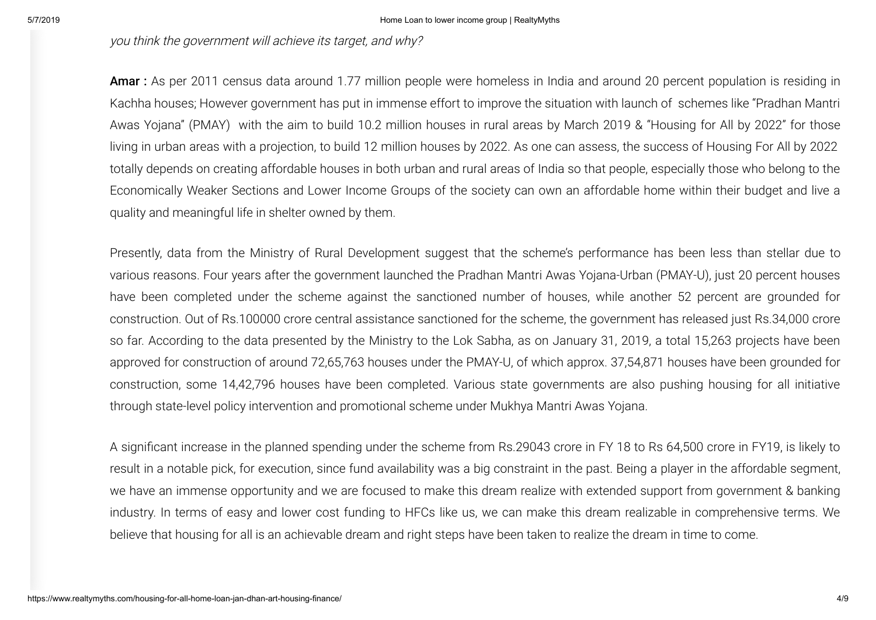you think the government will achieve its target, and why?

Amar : As per 2011 census data around 1.77 million people were homeless in India and around 20 percent population is residing in Kachha houses; However government has put in immense effort to improve the situation with launch of schemes like "Pradhan Mantri Awas Yojana" (PMAY) with the aim to build 10.2 million houses in rural areas by March 2019 & "Housing for All by 2022" for those living in urban areas with a projection, to build 12 million houses by 2022. As one can assess, the success of Housing For All by 2022 totally depends on creating affordable houses in both urban and rural areas of India so that people, especially those who belong to the Economically Weaker Sections and Lower Income Groups of the society can own an affordable home within their budget and live a quality and meaningful life in shelter owned by them.

Presently, data from the Ministry of Rural Development suggest that the scheme's performance has been less than stellar due to various reasons. Four years after the government launched the Pradhan Mantri Awas Yojana-Urban (PMAY-U), just 20 percent houses have been completed under the scheme against the sanctioned number of houses, while another 52 percent are grounded for construction. Out of Rs.100000 crore central assistance sanctioned for the scheme, the government has released just Rs.34,000 crore so far. According to the data presented by the Ministry to the Lok Sabha, as on January 31, 2019, a total 15,263 projects have been approved for construction of around 72,65,763 houses under the PMAY-U, of which approx. 37,54,871 houses have been grounded for construction, some 14,42,796 houses have been completed. Various state governments are also pushing housing for all initiative through state-level policy intervention and promotional scheme under Mukhya Mantri Awas Yojana.

A significant increase in the planned spending under the scheme from Rs.29043 crore in FY 18 to Rs 64,500 crore in FY19, is likely to result in a notable pick, for execution, since fund availability was a big constraint in the past. Being a player in the affordable segment, we have an immense opportunity and we are focused to make this dream realize with extended support from government & banking industry. In terms of easy and lower cost funding to HFCs like us, we can make this dream realizable in comprehensive terms. We believe that housing for all is an achievable dream and right steps have been taken to realize the dream in time to come.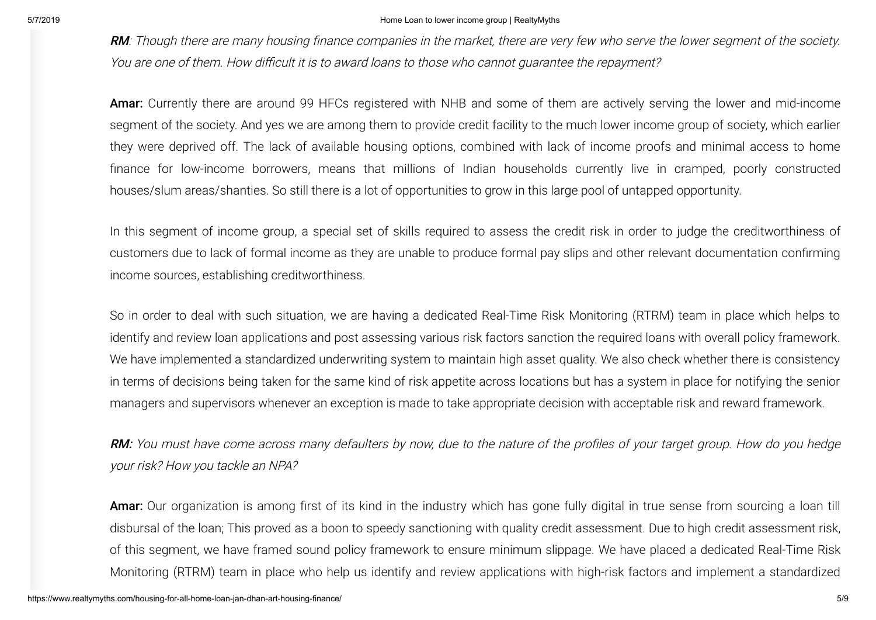RM: Though there are many housing finance companies in the market, there are very few who serve the lower segment of the society. You are one of them. How difficult it is to award loans to those who cannot guarantee the repayment?

Amar: Currently there are around 99 HFCs registered with NHB and some of them are actively serving the lower and mid-income segment of the society. And yes we are among them to provide credit facility to the much lower income group of society, which earlier they were deprived off. The lack of available housing options, combined with lack of income proofs and minimal access to home nance for low-income borrowers, means that millions of Indian households currently live in cramped, poorly constructed houses/slum areas/shanties. So still there is a lot of opportunities to grow in this large pool of untapped opportunity.

In this segment of income group, a special set of skills required to assess the credit risk in order to judge the creditworthiness of customers due to lack of formal income as they are unable to produce formal pay slips and other relevant documentation confirming income sources, establishing creditworthiness.

So in order to deal with such situation, we are having a dedicated Real-Time Risk Monitoring (RTRM) team in place which helps to identify and review loan applications and post assessing various risk factors sanction the required loans with overall policy framework. We have implemented a standardized underwriting system to maintain high asset quality. We also check whether there is consistency in terms of decisions being taken for the same kind of risk appetite across locations but has a system in place for notifying the senior managers and supervisors whenever an exception is made to take appropriate decision with acceptable risk and reward framework.

**RM:** You must have come across many defaulters by now, due to the nature of the profiles of your target group. How do you hedge your risk? How you tackle an NPA?

Amar: Our organization is among first of its kind in the industry which has gone fully digital in true sense from sourcing a loan till disbursal of the loan; This proved as a boon to speedy sanctioning with quality credit assessment. Due to high credit assessment risk, of this segment, we have framed sound policy framework to ensure minimum slippage. We have placed a dedicated Real-Time Risk Monitoring (RTRM) team in place who help us identify and review applications with high-risk factors and implement a standardized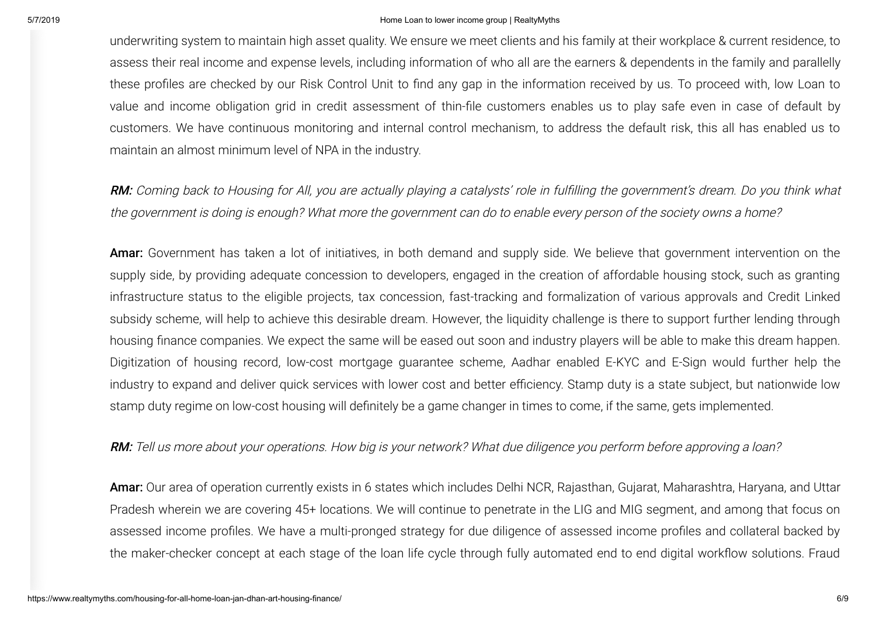underwriting system to maintain high asset quality. We ensure we meet clients and his family at their workplace & current residence, to assess their real income and expense levels, including information of who all are the earners & dependents in the family and parallelly these profiles are checked by our Risk Control Unit to find any gap in the information received by us. To proceed with, low Loan to value and income obligation grid in credit assessment of thin-file customers enables us to play safe even in case of default by customers. We have continuous monitoring and internal control mechanism, to address the default risk, this all has enabled us to maintain an almost minimum level of NPA in the industry.

RM: Coming back to Housing for All, you are actually playing a catalysts' role in fulfilling the government's dream. Do you think what the government is doing is enough? What more the government can do to enable every person of the society owns a home?

Amar: Government has taken a lot of initiatives, in both demand and supply side. We believe that government intervention on the supply side, by providing adequate concession to developers, engaged in the creation of affordable housing stock, such as granting infrastructure status to the eligible projects, tax concession, fast-tracking and formalization of various approvals and Credit Linked subsidy scheme, will help to achieve this desirable dream. However, the liquidity challenge is there to support further lending through housing finance companies. We expect the same will be eased out soon and industry players will be able to make this dream happen. Digitization of housing record, low-cost mortgage guarantee scheme, Aadhar enabled E-KYC and E-Sign would further help the industry to expand and deliver quick services with lower cost and better efficiency. Stamp duty is a state subject, but nationwide low stamp duty regime on low-cost housing will definitely be a game changer in times to come, if the same, gets implemented.

## RM: Tell us more about your operations. How big is your network? What due diligence you perform before approving a loan?

Amar: Our area of operation currently exists in 6 states which includes Delhi NCR, Rajasthan, Gujarat, Maharashtra, Haryana, and Uttar Pradesh wherein we are covering 45+ locations. We will continue to penetrate in the LIG and MIG segment, and among that focus on assessed income profiles. We have a multi-pronged strategy for due diligence of assessed income profiles and collateral backed by the maker-checker concept at each stage of the loan life cycle through fully automated end to end digital workflow solutions. Fraud